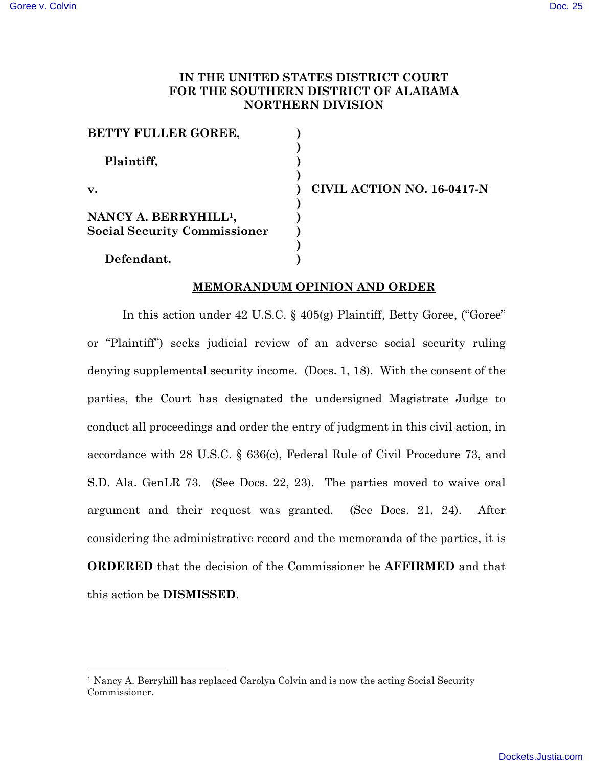# **IN THE UNITED STATES DISTRICT COURT FOR THE SOUTHERN DISTRICT OF ALABAMA NORTHERN DIVISION**

| BETTY FULLER GOREE,                 |  |
|-------------------------------------|--|
|                                     |  |
| Plaintiff,                          |  |
|                                     |  |
| v.                                  |  |
|                                     |  |
| NANCY A. BERRYHILL <sup>1</sup> ,   |  |
| <b>Social Security Commissioner</b> |  |
|                                     |  |
| Defendant.                          |  |

**v. ) CIVIL ACTION NO. 16-0417-N**

## **MEMORANDUM OPINION AND ORDER**

In this action under 42 U.S.C. § 405(g) Plaintiff, Betty Goree, ("Goree" or "Plaintiff") seeks judicial review of an adverse social security ruling denying supplemental security income. (Docs. 1, 18). With the consent of the parties, the Court has designated the undersigned Magistrate Judge to conduct all proceedings and order the entry of judgment in this civil action, in accordance with 28 U.S.C. § 636(c), Federal Rule of Civil Procedure 73, and S.D. Ala. GenLR 73. (See Docs. 22, 23). The parties moved to waive oral argument and their request was granted. (See Docs. 21, 24). After considering the administrative record and the memoranda of the parties, it is **ORDERED** that the decision of the Commissioner be **AFFIRMED** and that this action be **DISMISSED**.

<sup>1</sup> Nancy A. Berryhill has replaced Carolyn Colvin and is now the acting Social Security Commissioner.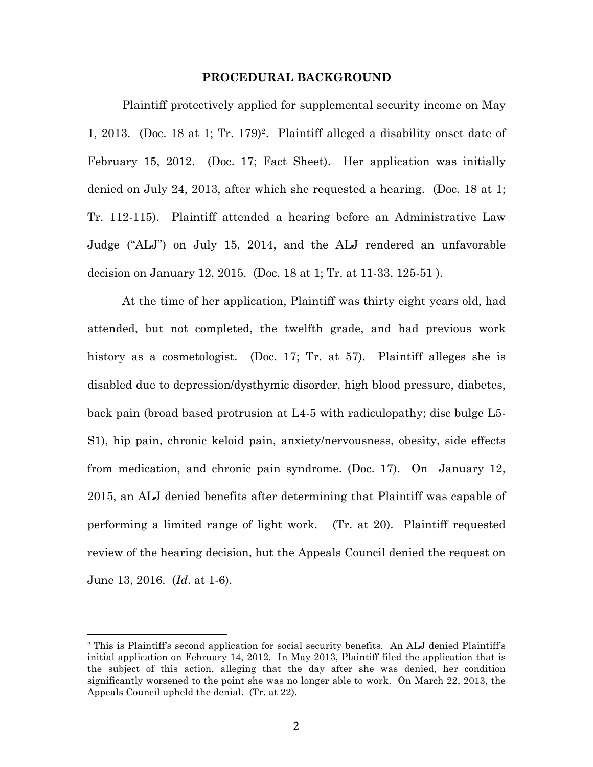#### **PROCEDURAL BACKGROUND**

Plaintiff protectively applied for supplemental security income on May 1, 2013. (Doc. 18 at 1; Tr. 179)<sup>2</sup>. Plaintiff alleged a disability onset date of February 15, 2012. (Doc. 17; Fact Sheet). Her application was initially denied on July 24, 2013, after which she requested a hearing. (Doc. 18 at 1; Tr. 112-115). Plaintiff attended a hearing before an Administrative Law Judge ("ALJ") on July 15, 2014, and the ALJ rendered an unfavorable decision on January 12, 2015. (Doc. 18 at 1; Tr. at 11-33, 125-51 ).

At the time of her application, Plaintiff was thirty eight years old, had attended, but not completed, the twelfth grade, and had previous work history as a cosmetologist. (Doc. 17; Tr. at 57). Plaintiff alleges she is disabled due to depression/dysthymic disorder, high blood pressure, diabetes, back pain (broad based protrusion at L4-5 with radiculopathy; disc bulge L5- S1), hip pain, chronic keloid pain, anxiety/nervousness, obesity, side effects from medication, and chronic pain syndrome. (Doc. 17). On January 12, 2015, an ALJ denied benefits after determining that Plaintiff was capable of performing a limited range of light work. (Tr. at 20). Plaintiff requested review of the hearing decision, but the Appeals Council denied the request on June 13, 2016. (*Id*. at 1-6).

<sup>2</sup> This is Plaintiff's second application for social security benefits. An ALJ denied Plaintiff's initial application on February 14, 2012. In May 2013, Plaintiff filed the application that is the subject of this action, alleging that the day after she was denied, her condition significantly worsened to the point she was no longer able to work. On March 22, 2013, the Appeals Council upheld the denial. (Tr. at 22).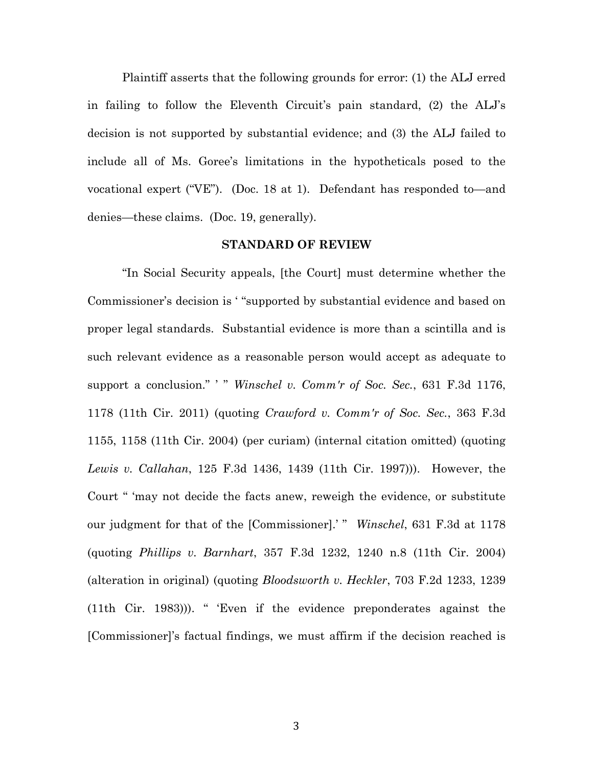Plaintiff asserts that the following grounds for error: (1) the ALJ erred in failing to follow the Eleventh Circuit's pain standard, (2) the ALJ's decision is not supported by substantial evidence; and (3) the ALJ failed to include all of Ms. Goree's limitations in the hypotheticals posed to the vocational expert ("VE"). (Doc. 18 at 1). Defendant has responded to—and denies—these claims. (Doc. 19, generally).

#### **STANDARD OF REVIEW**

"In Social Security appeals, [the Court] must determine whether the Commissioner's decision is ' "supported by substantial evidence and based on proper legal standards. Substantial evidence is more than a scintilla and is such relevant evidence as a reasonable person would accept as adequate to support a conclusion." ' " *Winschel v. Comm'r of Soc. Sec.*, 631 F.3d 1176, 1178 (11th Cir. 2011) (quoting *Crawford v. Comm'r of Soc. Sec.*, 363 F.3d 1155, 1158 (11th Cir. 2004) (per curiam) (internal citation omitted) (quoting *Lewis v. Callahan*, 125 F.3d 1436, 1439 (11th Cir. 1997))). However, the Court " 'may not decide the facts anew, reweigh the evidence, or substitute our judgment for that of the [Commissioner].' " *Winschel*, 631 F.3d at 1178 (quoting *Phillips v. Barnhart*, 357 F.3d 1232, 1240 n.8 (11th Cir. 2004) (alteration in original) (quoting *Bloodsworth v. Heckler*, 703 F.2d 1233, 1239 (11th Cir. 1983))). " 'Even if the evidence preponderates against the [Commissioner]'s factual findings, we must affirm if the decision reached is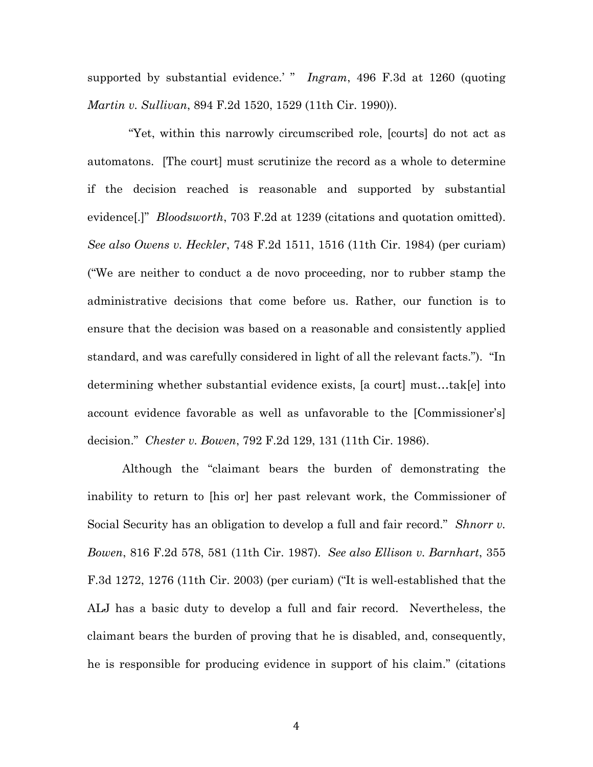supported by substantial evidence.' " *Ingram*, 496 F.3d at 1260 (quoting *Martin v. Sullivan*, 894 F.2d 1520, 1529 (11th Cir. 1990)).

 "Yet, within this narrowly circumscribed role, [courts] do not act as automatons. [The court] must scrutinize the record as a whole to determine if the decision reached is reasonable and supported by substantial evidence[.]" *Bloodsworth*, 703 F.2d at 1239 (citations and quotation omitted). *See also Owens v. Heckler*, 748 F.2d 1511, 1516 (11th Cir. 1984) (per curiam) ("We are neither to conduct a de novo proceeding, nor to rubber stamp the administrative decisions that come before us. Rather, our function is to ensure that the decision was based on a reasonable and consistently applied standard, and was carefully considered in light of all the relevant facts."). "In determining whether substantial evidence exists, [a court] must…tak[e] into account evidence favorable as well as unfavorable to the [Commissioner's] decision." *Chester v. Bowen*, 792 F.2d 129, 131 (11th Cir. 1986).

Although the "claimant bears the burden of demonstrating the inability to return to [his or] her past relevant work, the Commissioner of Social Security has an obligation to develop a full and fair record." *Shnorr v. Bowen*, 816 F.2d 578, 581 (11th Cir. 1987). *See also Ellison v. Barnhart*, 355 F.3d 1272, 1276 (11th Cir. 2003) (per curiam) ("It is well-established that the ALJ has a basic duty to develop a full and fair record. Nevertheless, the claimant bears the burden of proving that he is disabled, and, consequently, he is responsible for producing evidence in support of his claim." (citations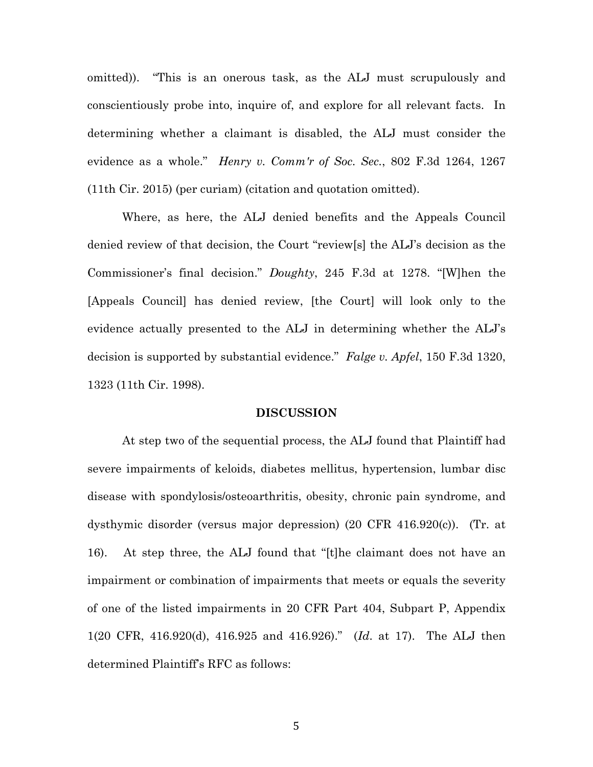omitted)). "This is an onerous task, as the ALJ must scrupulously and conscientiously probe into, inquire of, and explore for all relevant facts. In determining whether a claimant is disabled, the ALJ must consider the evidence as a whole." *Henry v. Comm'r of Soc. Sec.*, 802 F.3d 1264, 1267 (11th Cir. 2015) (per curiam) (citation and quotation omitted).

Where, as here, the ALJ denied benefits and the Appeals Council denied review of that decision, the Court "review[s] the ALJ's decision as the Commissioner's final decision." *Doughty*, 245 F.3d at 1278. "[W]hen the [Appeals Council] has denied review, [the Court] will look only to the evidence actually presented to the ALJ in determining whether the ALJ's decision is supported by substantial evidence." *Falge v. Apfel*, 150 F.3d 1320, 1323 (11th Cir. 1998).

## **DISCUSSION**

At step two of the sequential process, the ALJ found that Plaintiff had severe impairments of keloids, diabetes mellitus, hypertension, lumbar disc disease with spondylosis/osteoarthritis, obesity, chronic pain syndrome, and dysthymic disorder (versus major depression) (20 CFR 416.920(c)). (Tr. at 16). At step three, the ALJ found that "[t]he claimant does not have an impairment or combination of impairments that meets or equals the severity of one of the listed impairments in 20 CFR Part 404, Subpart P, Appendix 1(20 CFR, 416.920(d), 416.925 and 416.926)." (*Id*. at 17). The ALJ then determined Plaintiff's RFC as follows: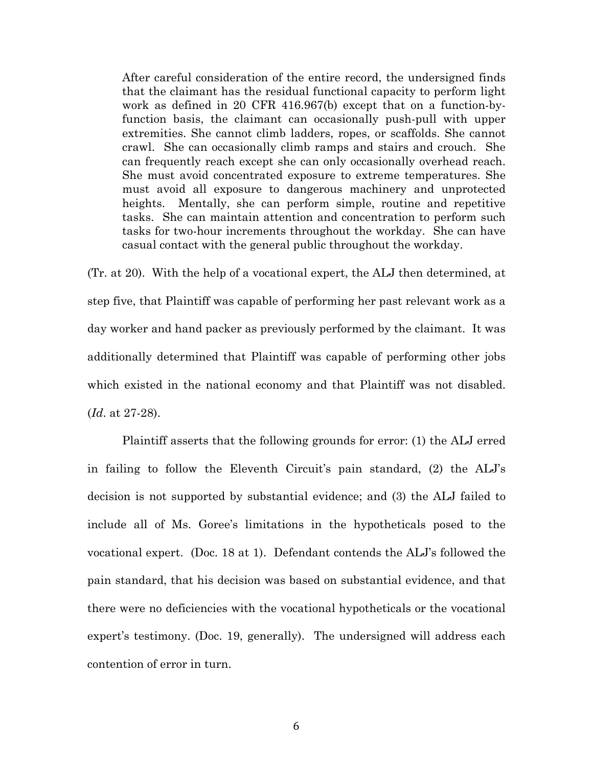After careful consideration of the entire record, the undersigned finds that the claimant has the residual functional capacity to perform light work as defined in 20 CFR 416.967(b) except that on a function-byfunction basis, the claimant can occasionally push-pull with upper extremities. She cannot climb ladders, ropes, or scaffolds. She cannot crawl. She can occasionally climb ramps and stairs and crouch. She can frequently reach except she can only occasionally overhead reach. She must avoid concentrated exposure to extreme temperatures. She must avoid all exposure to dangerous machinery and unprotected heights. Mentally, she can perform simple, routine and repetitive tasks. She can maintain attention and concentration to perform such tasks for two-hour increments throughout the workday. She can have casual contact with the general public throughout the workday.

(Tr. at 20). With the help of a vocational expert, the ALJ then determined, at step five, that Plaintiff was capable of performing her past relevant work as a day worker and hand packer as previously performed by the claimant. It was additionally determined that Plaintiff was capable of performing other jobs which existed in the national economy and that Plaintiff was not disabled. (*Id*. at 27-28).

Plaintiff asserts that the following grounds for error: (1) the ALJ erred in failing to follow the Eleventh Circuit's pain standard, (2) the ALJ's decision is not supported by substantial evidence; and (3) the ALJ failed to include all of Ms. Goree's limitations in the hypotheticals posed to the vocational expert. (Doc. 18 at 1). Defendant contends the ALJ's followed the pain standard, that his decision was based on substantial evidence, and that there were no deficiencies with the vocational hypotheticals or the vocational expert's testimony. (Doc. 19, generally). The undersigned will address each contention of error in turn.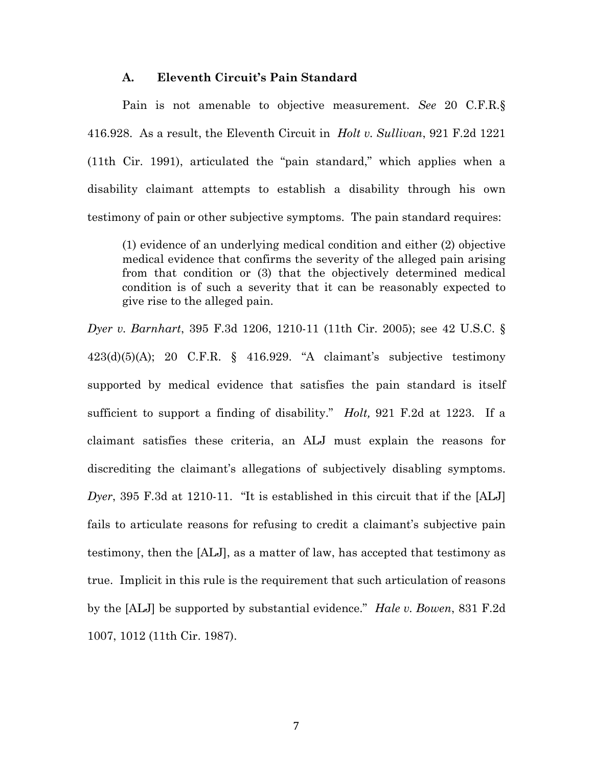### **A. Eleventh Circuit's Pain Standard**

Pain is not amenable to objective measurement. *See* 20 C.F.R.§ 416.928. As a result, the Eleventh Circuit in *Holt v. Sullivan*, 921 F.2d 1221 (11th Cir. 1991), articulated the "pain standard," which applies when a disability claimant attempts to establish a disability through his own testimony of pain or other subjective symptoms. The pain standard requires:

(1) evidence of an underlying medical condition and either (2) objective medical evidence that confirms the severity of the alleged pain arising from that condition or (3) that the objectively determined medical condition is of such a severity that it can be reasonably expected to give rise to the alleged pain.

*Dyer v. Barnhart*, 395 F.3d 1206, 1210-11 (11th Cir. 2005); see 42 U.S.C. §  $423(d)(5)(A); 20 \text{ C.F.R. }$  § 416.929. "A claimant's subjective testimony supported by medical evidence that satisfies the pain standard is itself sufficient to support a finding of disability." *Holt,* 921 F.2d at 1223. If a claimant satisfies these criteria, an ALJ must explain the reasons for discrediting the claimant's allegations of subjectively disabling symptoms. *Dyer*, 395 F.3d at 1210-11. "It is established in this circuit that if the [ALJ] fails to articulate reasons for refusing to credit a claimant's subjective pain testimony, then the [ALJ], as a matter of law, has accepted that testimony as true. Implicit in this rule is the requirement that such articulation of reasons by the [ALJ] be supported by substantial evidence." *Hale v. Bowen*, 831 F.2d 1007, 1012 (11th Cir. 1987).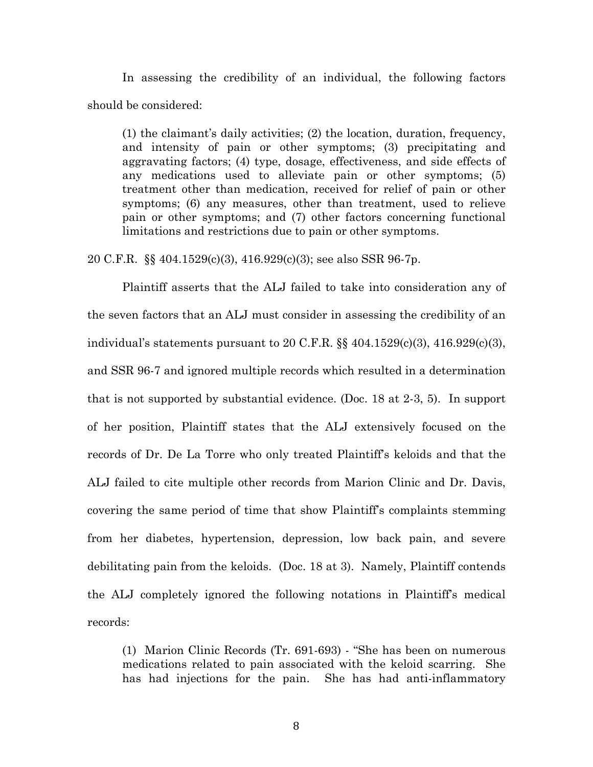In assessing the credibility of an individual, the following factors should be considered:

(1) the claimant's daily activities; (2) the location, duration, frequency, and intensity of pain or other symptoms; (3) precipitating and aggravating factors; (4) type, dosage, effectiveness, and side effects of any medications used to alleviate pain or other symptoms; (5) treatment other than medication, received for relief of pain or other symptoms; (6) any measures, other than treatment, used to relieve pain or other symptoms; and (7) other factors concerning functional limitations and restrictions due to pain or other symptoms.

20 C.F.R. §§ 404.1529(c)(3), 416.929(c)(3); see also SSR 96-7p.

Plaintiff asserts that the ALJ failed to take into consideration any of the seven factors that an ALJ must consider in assessing the credibility of an individual's statements pursuant to 20 C.F.R.  $\&$  404.1529(c)(3), 416.929(c)(3), and SSR 96-7 and ignored multiple records which resulted in a determination that is not supported by substantial evidence. (Doc. 18 at 2-3, 5). In support of her position, Plaintiff states that the ALJ extensively focused on the records of Dr. De La Torre who only treated Plaintiff's keloids and that the ALJ failed to cite multiple other records from Marion Clinic and Dr. Davis, covering the same period of time that show Plaintiff's complaints stemming from her diabetes, hypertension, depression, low back pain, and severe debilitating pain from the keloids. (Doc. 18 at 3). Namely, Plaintiff contends the ALJ completely ignored the following notations in Plaintiff's medical records:

(1) Marion Clinic Records (Tr. 691-693) - "She has been on numerous medications related to pain associated with the keloid scarring. She has had injections for the pain. She has had anti-inflammatory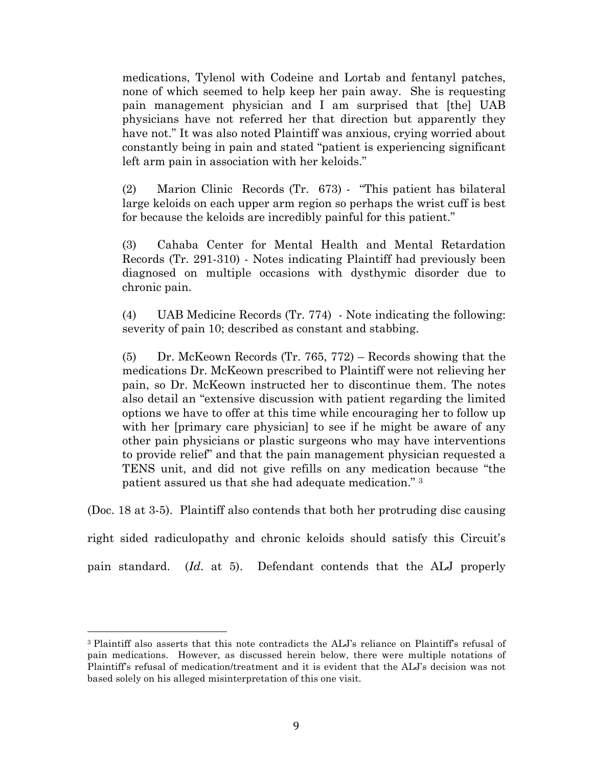medications, Tylenol with Codeine and Lortab and fentanyl patches, none of which seemed to help keep her pain away. She is requesting pain management physician and I am surprised that [the] UAB physicians have not referred her that direction but apparently they have not." It was also noted Plaintiff was anxious, crying worried about constantly being in pain and stated "patient is experiencing significant left arm pain in association with her keloids."

(2) Marion Clinic Records (Tr. 673) - "This patient has bilateral large keloids on each upper arm region so perhaps the wrist cuff is best for because the keloids are incredibly painful for this patient."

(3) Cahaba Center for Mental Health and Mental Retardation Records (Tr. 291-310) - Notes indicating Plaintiff had previously been diagnosed on multiple occasions with dysthymic disorder due to chronic pain.

(4) UAB Medicine Records (Tr. 774) - Note indicating the following: severity of pain 10; described as constant and stabbing.

(5) Dr. McKeown Records (Tr. 765, 772) – Records showing that the medications Dr. McKeown prescribed to Plaintiff were not relieving her pain, so Dr. McKeown instructed her to discontinue them. The notes also detail an "extensive discussion with patient regarding the limited options we have to offer at this time while encouraging her to follow up with her [primary care physician] to see if he might be aware of any other pain physicians or plastic surgeons who may have interventions to provide relief" and that the pain management physician requested a TENS unit, and did not give refills on any medication because "the patient assured us that she had adequate medication." 3

(Doc. 18 at 3-5). Plaintiff also contends that both her protruding disc causing

right sided radiculopathy and chronic keloids should satisfy this Circuit's

pain standard. (*Id*. at 5). Defendant contends that the ALJ properly

<sup>3</sup> Plaintiff also asserts that this note contradicts the ALJ's reliance on Plaintiff's refusal of pain medications. However, as discussed herein below, there were multiple notations of Plaintiff's refusal of medication/treatment and it is evident that the ALJ's decision was not based solely on his alleged misinterpretation of this one visit.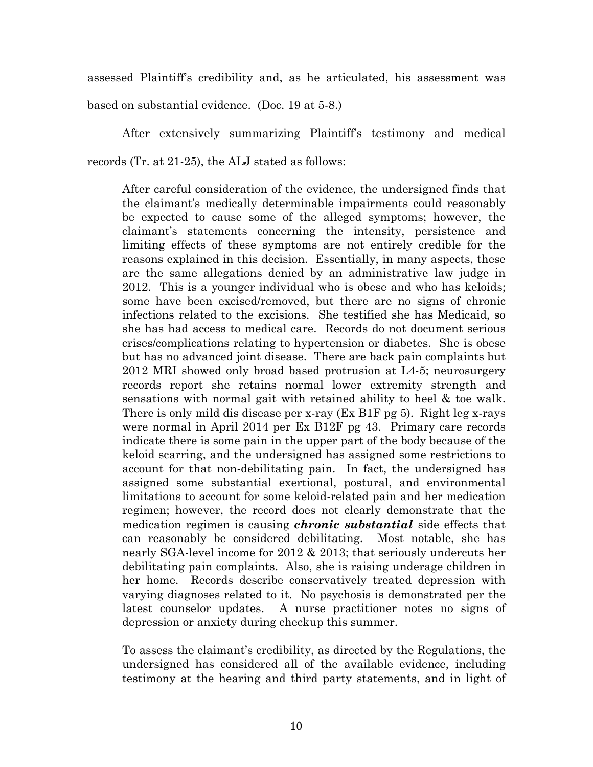assessed Plaintiff's credibility and, as he articulated, his assessment was based on substantial evidence. (Doc. 19 at 5-8.)

After extensively summarizing Plaintiff's testimony and medical records (Tr. at 21-25), the ALJ stated as follows:

After careful consideration of the evidence, the undersigned finds that the claimant's medically determinable impairments could reasonably be expected to cause some of the alleged symptoms; however, the claimant's statements concerning the intensity, persistence and limiting effects of these symptoms are not entirely credible for the reasons explained in this decision. Essentially, in many aspects, these are the same allegations denied by an administrative law judge in 2012. This is a younger individual who is obese and who has keloids; some have been excised/removed, but there are no signs of chronic infections related to the excisions. She testified she has Medicaid, so she has had access to medical care. Records do not document serious crises/complications relating to hypertension or diabetes. She is obese but has no advanced joint disease. There are back pain complaints but 2012 MRI showed only broad based protrusion at L4-5; neurosurgery records report she retains normal lower extremity strength and sensations with normal gait with retained ability to heel & toe walk. There is only mild dis disease per x-ray (Ex B1F pg 5). Right leg x-rays were normal in April 2014 per Ex B12F pg 43. Primary care records indicate there is some pain in the upper part of the body because of the keloid scarring, and the undersigned has assigned some restrictions to account for that non-debilitating pain. In fact, the undersigned has assigned some substantial exertional, postural, and environmental limitations to account for some keloid-related pain and her medication regimen; however, the record does not clearly demonstrate that the medication regimen is causing *chronic substantial* side effects that can reasonably be considered debilitating. Most notable, she has nearly SGA-level income for 2012 & 2013; that seriously undercuts her debilitating pain complaints. Also, she is raising underage children in her home. Records describe conservatively treated depression with varying diagnoses related to it. No psychosis is demonstrated per the latest counselor updates. A nurse practitioner notes no signs of depression or anxiety during checkup this summer.

To assess the claimant's credibility, as directed by the Regulations, the undersigned has considered all of the available evidence, including testimony at the hearing and third party statements, and in light of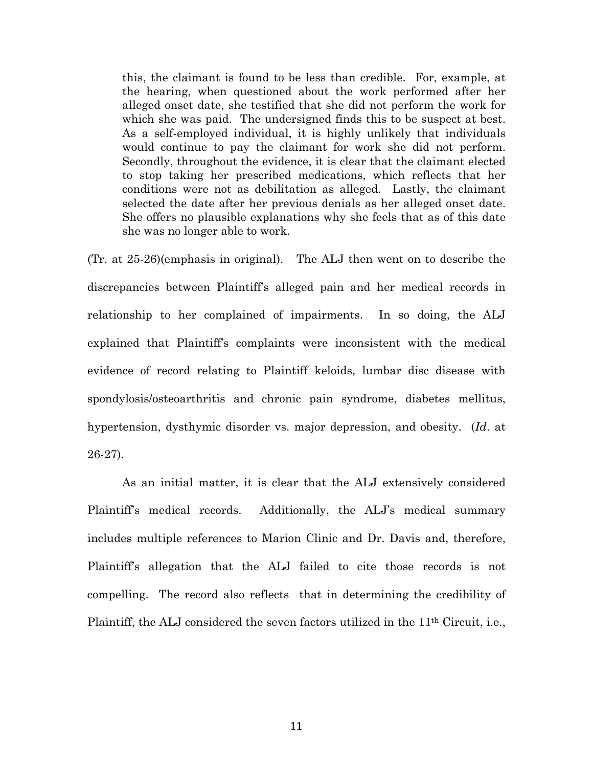this, the claimant is found to be less than credible. For, example, at the hearing, when questioned about the work performed after her alleged onset date, she testified that she did not perform the work for which she was paid. The undersigned finds this to be suspect at best. As a self-employed individual, it is highly unlikely that individuals would continue to pay the claimant for work she did not perform. Secondly, throughout the evidence, it is clear that the claimant elected to stop taking her prescribed medications, which reflects that her conditions were not as debilitation as alleged. Lastly, the claimant selected the date after her previous denials as her alleged onset date. She offers no plausible explanations why she feels that as of this date she was no longer able to work.

(Tr. at 25-26)(emphasis in original). The ALJ then went on to describe the discrepancies between Plaintiff's alleged pain and her medical records in relationship to her complained of impairments. In so doing, the ALJ explained that Plaintiff's complaints were inconsistent with the medical evidence of record relating to Plaintiff keloids, lumbar disc disease with spondylosis/osteoarthritis and chronic pain syndrome, diabetes mellitus, hypertension, dysthymic disorder vs. major depression, and obesity. (*Id*. at 26-27).

As an initial matter, it is clear that the ALJ extensively considered Plaintiff's medical records. Additionally, the ALJ's medical summary includes multiple references to Marion Clinic and Dr. Davis and, therefore, Plaintiff's allegation that the ALJ failed to cite those records is not compelling. The record also reflects that in determining the credibility of Plaintiff, the ALJ considered the seven factors utilized in the 11th Circuit, i.e.,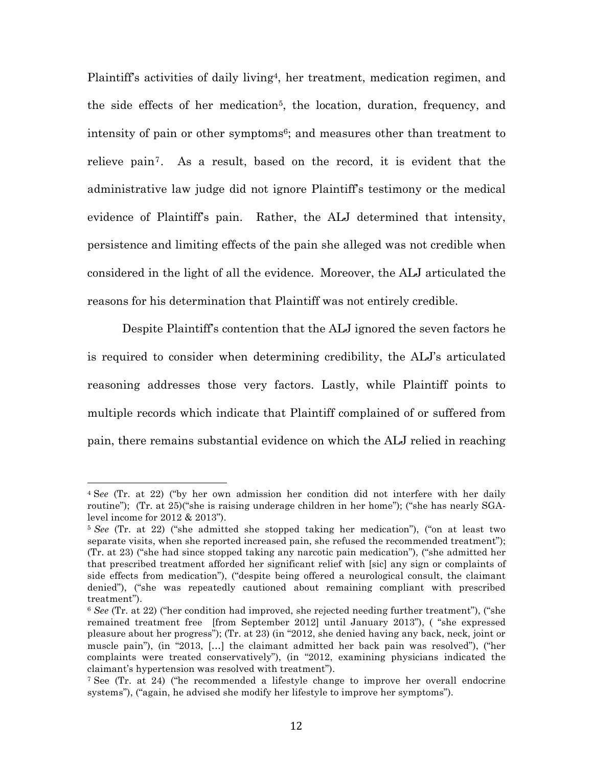Plaintiff's activities of daily living4, her treatment, medication regimen, and the side effects of her medication<sup>5</sup>, the location, duration, frequency, and intensity of pain or other symptoms<sup>6</sup>; and measures other than treatment to relieve pain7. As a result, based on the record, it is evident that the administrative law judge did not ignore Plaintiff's testimony or the medical evidence of Plaintiff's pain. Rather, the ALJ determined that intensity, persistence and limiting effects of the pain she alleged was not credible when considered in the light of all the evidence. Moreover, the ALJ articulated the reasons for his determination that Plaintiff was not entirely credible.

Despite Plaintiff's contention that the ALJ ignored the seven factors he is required to consider when determining credibility, the ALJ's articulated reasoning addresses those very factors. Lastly, while Plaintiff points to multiple records which indicate that Plaintiff complained of or suffered from pain, there remains substantial evidence on which the ALJ relied in reaching

<sup>4</sup> S*ee* (Tr. at 22) ("by her own admission her condition did not interfere with her daily routine"); (Tr. at 25)("she is raising underage children in her home"); ("she has nearly SGAlevel income for 2012 & 2013").

<sup>5</sup> *See* (Tr. at 22) ("she admitted she stopped taking her medication"), ("on at least two separate visits, when she reported increased pain, she refused the recommended treatment"); (Tr. at 23) ("she had since stopped taking any narcotic pain medication"), ("she admitted her that prescribed treatment afforded her significant relief with [sic] any sign or complaints of side effects from medication"), ("despite being offered a neurological consult, the claimant denied"), ("she was repeatedly cautioned about remaining compliant with prescribed treatment").

<sup>6</sup> *See* (Tr. at 22) ("her condition had improved, she rejected needing further treatment"), ("she remained treatment free [from September 2012] until January 2013"), ( "she expressed pleasure about her progress"); (Tr. at 23) (in "2012, she denied having any back, neck, joint or muscle pain"), (in "2013, […] the claimant admitted her back pain was resolved"), ("her complaints were treated conservatively"), (in "2012, examining physicians indicated the claimant's hypertension was resolved with treatment").

<sup>7</sup> See (Tr. at 24) ("he recommended a lifestyle change to improve her overall endocrine systems"), ("again, he advised she modify her lifestyle to improve her symptoms").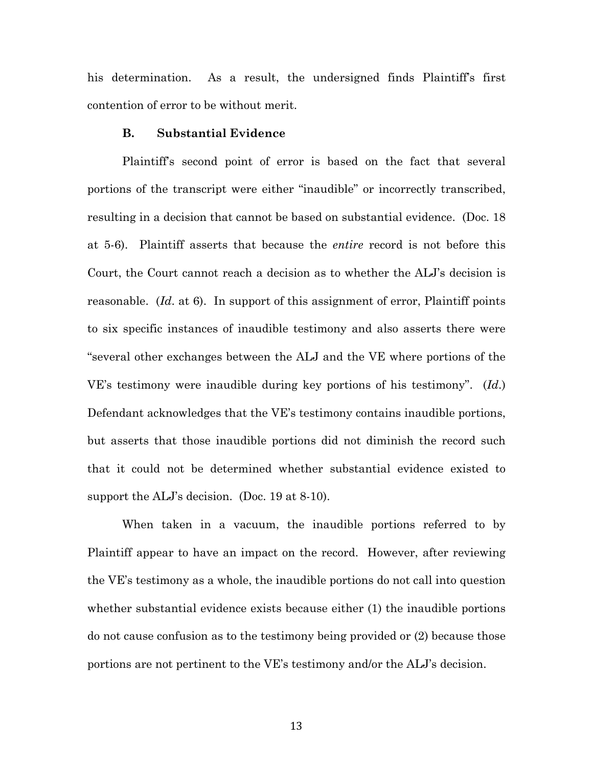his determination. As a result, the undersigned finds Plaintiff's first contention of error to be without merit.

## **B. Substantial Evidence**

Plaintiff's second point of error is based on the fact that several portions of the transcript were either "inaudible" or incorrectly transcribed, resulting in a decision that cannot be based on substantial evidence. (Doc. 18 at 5-6). Plaintiff asserts that because the *entire* record is not before this Court, the Court cannot reach a decision as to whether the ALJ's decision is reasonable. (*Id*. at 6). In support of this assignment of error, Plaintiff points to six specific instances of inaudible testimony and also asserts there were "several other exchanges between the ALJ and the VE where portions of the VE's testimony were inaudible during key portions of his testimony". (*Id*.) Defendant acknowledges that the VE's testimony contains inaudible portions, but asserts that those inaudible portions did not diminish the record such that it could not be determined whether substantial evidence existed to support the ALJ's decision. (Doc. 19 at 8-10).

When taken in a vacuum, the inaudible portions referred to by Plaintiff appear to have an impact on the record. However, after reviewing the VE's testimony as a whole, the inaudible portions do not call into question whether substantial evidence exists because either (1) the inaudible portions do not cause confusion as to the testimony being provided or (2) because those portions are not pertinent to the VE's testimony and/or the ALJ's decision.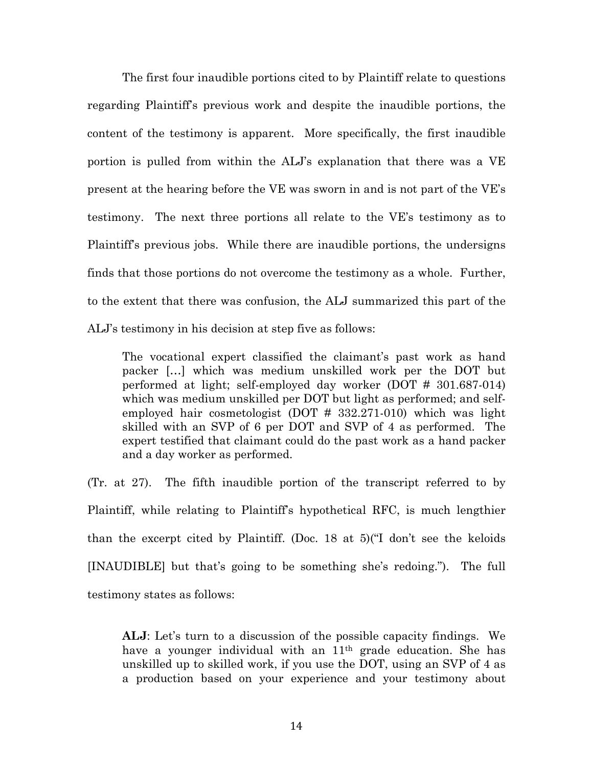The first four inaudible portions cited to by Plaintiff relate to questions regarding Plaintiff's previous work and despite the inaudible portions, the content of the testimony is apparent. More specifically, the first inaudible portion is pulled from within the ALJ's explanation that there was a VE present at the hearing before the VE was sworn in and is not part of the VE's testimony. The next three portions all relate to the VE's testimony as to Plaintiff's previous jobs. While there are inaudible portions, the undersigns finds that those portions do not overcome the testimony as a whole. Further, to the extent that there was confusion, the ALJ summarized this part of the ALJ's testimony in his decision at step five as follows:

The vocational expert classified the claimant's past work as hand packer […] which was medium unskilled work per the DOT but performed at light; self-employed day worker (DOT # 301.687-014) which was medium unskilled per DOT but light as performed; and selfemployed hair cosmetologist (DOT # 332.271-010) which was light skilled with an SVP of 6 per DOT and SVP of 4 as performed. The expert testified that claimant could do the past work as a hand packer and a day worker as performed.

(Tr. at 27). The fifth inaudible portion of the transcript referred to by Plaintiff, while relating to Plaintiff's hypothetical RFC, is much lengthier than the excerpt cited by Plaintiff. (Doc. 18 at 5)("I don't see the keloids [INAUDIBLE] but that's going to be something she's redoing."). The full testimony states as follows:

**ALJ**: Let's turn to a discussion of the possible capacity findings. We have a younger individual with an 11<sup>th</sup> grade education. She has unskilled up to skilled work, if you use the DOT, using an SVP of 4 as a production based on your experience and your testimony about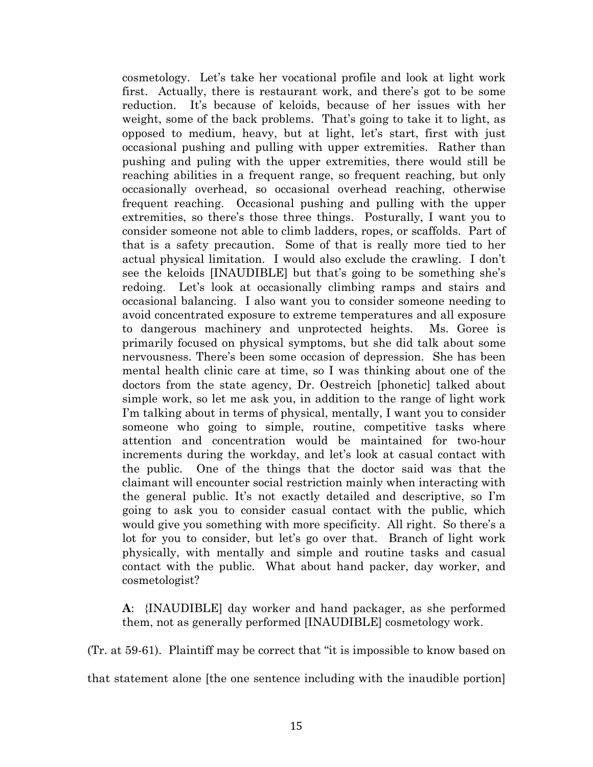cosmetology. Let's take her vocational profile and look at light work first. Actually, there is restaurant work, and there's got to be some reduction. It's because of keloids, because of her issues with her weight, some of the back problems. That's going to take it to light, as opposed to medium, heavy, but at light, let's start, first with just occasional pushing and pulling with upper extremities. Rather than pushing and puling with the upper extremities, there would still be reaching abilities in a frequent range, so frequent reaching, but only occasionally overhead, so occasional overhead reaching, otherwise frequent reaching. Occasional pushing and pulling with the upper extremities, so there's those three things. Posturally, I want you to consider someone not able to climb ladders, ropes, or scaffolds. Part of that is a safety precaution. Some of that is really more tied to her actual physical limitation. I would also exclude the crawling. I don't see the keloids [INAUDIBLE] but that's going to be something she's redoing. Let's look at occasionally climbing ramps and stairs and occasional balancing. I also want you to consider someone needing to avoid concentrated exposure to extreme temperatures and all exposure to dangerous machinery and unprotected heights. Ms. Goree is primarily focused on physical symptoms, but she did talk about some nervousness. There's been some occasion of depression. She has been mental health clinic care at time, so I was thinking about one of the doctors from the state agency, Dr. Oestreich [phonetic] talked about simple work, so let me ask you, in addition to the range of light work I'm talking about in terms of physical, mentally, I want you to consider someone who going to simple, routine, competitive tasks where attention and concentration would be maintained for two-hour increments during the workday, and let's look at casual contact with the public. One of the things that the doctor said was that the claimant will encounter social restriction mainly when interacting with the general public. It's not exactly detailed and descriptive, so I'm going to ask you to consider casual contact with the public, which would give you something with more specificity. All right. So there's a lot for you to consider, but let's go over that. Branch of light work physically, with mentally and simple and routine tasks and casual contact with the public. What about hand packer, day worker, and cosmetologist?

**A**: {INAUDIBLE] day worker and hand packager, as she performed them, not as generally performed [INAUDIBLE] cosmetology work.

(Tr. at 59-61). Plaintiff may be correct that "it is impossible to know based on

that statement alone [the one sentence including with the inaudible portion]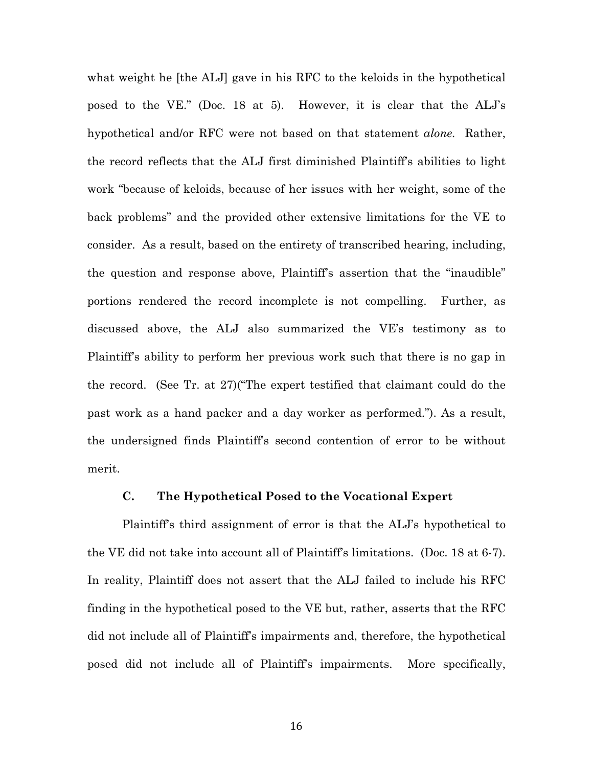what weight he [the ALJ] gave in his RFC to the keloids in the hypothetical posed to the VE." (Doc. 18 at 5). However, it is clear that the ALJ's hypothetical and/or RFC were not based on that statement *alone.* Rather, the record reflects that the ALJ first diminished Plaintiff's abilities to light work "because of keloids, because of her issues with her weight, some of the back problems" and the provided other extensive limitations for the VE to consider. As a result, based on the entirety of transcribed hearing, including, the question and response above, Plaintiff's assertion that the "inaudible" portions rendered the record incomplete is not compelling. Further, as discussed above, the ALJ also summarized the VE's testimony as to Plaintiff's ability to perform her previous work such that there is no gap in the record. (See Tr. at 27)("The expert testified that claimant could do the past work as a hand packer and a day worker as performed."). As a result, the undersigned finds Plaintiff's second contention of error to be without merit.

## **C. The Hypothetical Posed to the Vocational Expert**

Plaintiff's third assignment of error is that the ALJ's hypothetical to the VE did not take into account all of Plaintiff's limitations. (Doc. 18 at 6-7). In reality, Plaintiff does not assert that the ALJ failed to include his RFC finding in the hypothetical posed to the VE but, rather, asserts that the RFC did not include all of Plaintiff's impairments and, therefore, the hypothetical posed did not include all of Plaintiff's impairments. More specifically,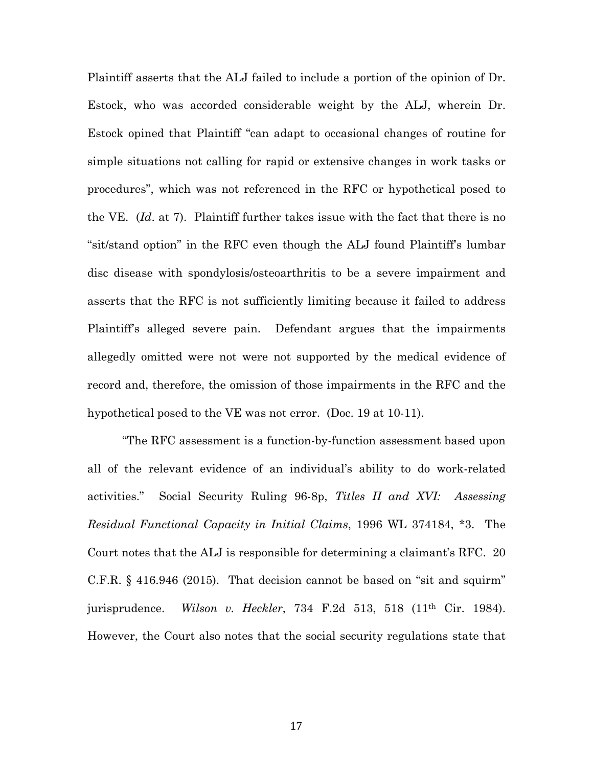Plaintiff asserts that the ALJ failed to include a portion of the opinion of Dr. Estock, who was accorded considerable weight by the ALJ, wherein Dr. Estock opined that Plaintiff "can adapt to occasional changes of routine for simple situations not calling for rapid or extensive changes in work tasks or procedures", which was not referenced in the RFC or hypothetical posed to the VE. (*Id*. at 7). Plaintiff further takes issue with the fact that there is no "sit/stand option" in the RFC even though the ALJ found Plaintiff's lumbar disc disease with spondylosis/osteoarthritis to be a severe impairment and asserts that the RFC is not sufficiently limiting because it failed to address Plaintiff's alleged severe pain. Defendant argues that the impairments allegedly omitted were not were not supported by the medical evidence of record and, therefore, the omission of those impairments in the RFC and the hypothetical posed to the VE was not error. (Doc. 19 at 10-11).

"The RFC assessment is a function-by-function assessment based upon all of the relevant evidence of an individual's ability to do work-related activities." Social Security Ruling 96-8p, *Titles II and XVI: Assessing Residual Functional Capacity in Initial Claims*, 1996 WL 374184, \*3. The Court notes that the ALJ is responsible for determining a claimant's RFC. 20 C.F.R. § 416.946 (2015). That decision cannot be based on "sit and squirm" jurisprudence. *Wilson v. Heckler*, 734 F.2d 513, 518 (11th Cir. 1984). However, the Court also notes that the social security regulations state that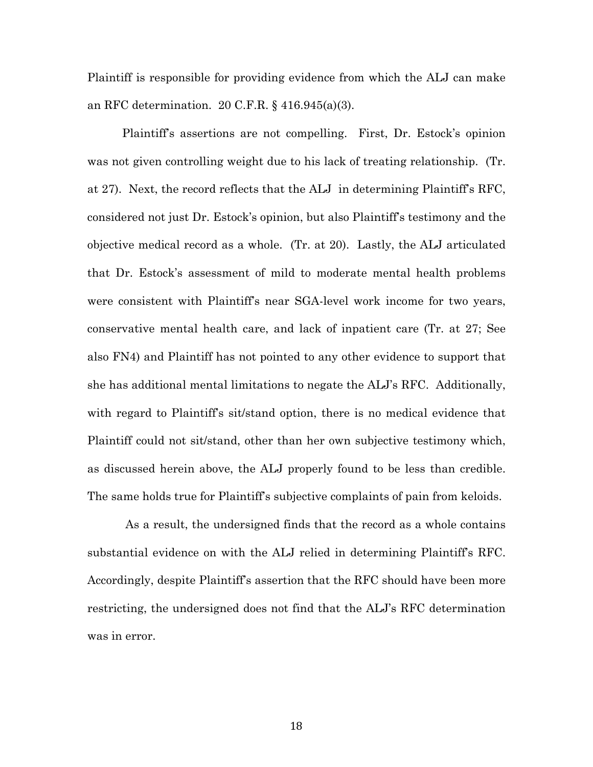Plaintiff is responsible for providing evidence from which the ALJ can make an RFC determination. 20 C.F.R. § 416.945(a)(3).

Plaintiff's assertions are not compelling. First, Dr. Estock's opinion was not given controlling weight due to his lack of treating relationship. (Tr. at 27). Next, the record reflects that the ALJ in determining Plaintiff's RFC, considered not just Dr. Estock's opinion, but also Plaintiff's testimony and the objective medical record as a whole. (Tr. at 20). Lastly, the ALJ articulated that Dr. Estock's assessment of mild to moderate mental health problems were consistent with Plaintiff's near SGA-level work income for two years, conservative mental health care, and lack of inpatient care (Tr. at 27; See also FN4) and Plaintiff has not pointed to any other evidence to support that she has additional mental limitations to negate the ALJ's RFC. Additionally, with regard to Plaintiff's sit/stand option, there is no medical evidence that Plaintiff could not sit/stand, other than her own subjective testimony which, as discussed herein above, the ALJ properly found to be less than credible. The same holds true for Plaintiff's subjective complaints of pain from keloids.

As a result, the undersigned finds that the record as a whole contains substantial evidence on with the ALJ relied in determining Plaintiff's RFC. Accordingly, despite Plaintiff's assertion that the RFC should have been more restricting, the undersigned does not find that the ALJ's RFC determination was in error.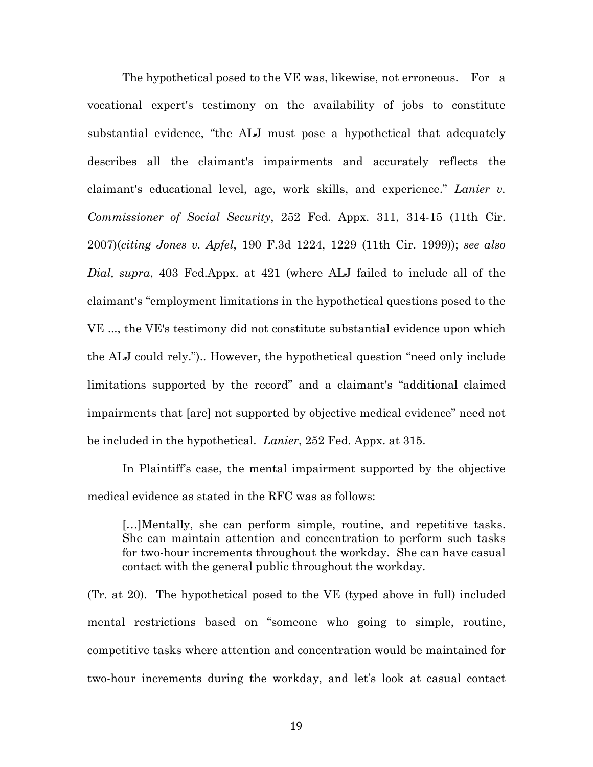The hypothetical posed to the VE was, likewise, not erroneous. For a vocational expert's testimony on the availability of jobs to constitute substantial evidence, "the ALJ must pose a hypothetical that adequately describes all the claimant's impairments and accurately reflects the claimant's educational level, age, work skills, and experience." *Lanier v. Commissioner of Social Security*, 252 Fed. Appx. 311, 314-15 (11th Cir. 2007)(*citing Jones v. Apfel*, 190 F.3d 1224, 1229 (11th Cir. 1999)); *see also Dial, supra*, 403 Fed.Appx. at 421 (where ALJ failed to include all of the claimant's "employment limitations in the hypothetical questions posed to the VE ..., the VE's testimony did not constitute substantial evidence upon which the ALJ could rely.").. However, the hypothetical question "need only include limitations supported by the record" and a claimant's "additional claimed impairments that [are] not supported by objective medical evidence" need not be included in the hypothetical. *Lanier*, 252 Fed. Appx. at 315.

In Plaintiff's case, the mental impairment supported by the objective medical evidence as stated in the RFC was as follows:

[...]Mentally, she can perform simple, routine, and repetitive tasks. She can maintain attention and concentration to perform such tasks for two-hour increments throughout the workday. She can have casual contact with the general public throughout the workday.

(Tr. at 20). The hypothetical posed to the VE (typed above in full) included mental restrictions based on "someone who going to simple, routine, competitive tasks where attention and concentration would be maintained for two-hour increments during the workday, and let's look at casual contact